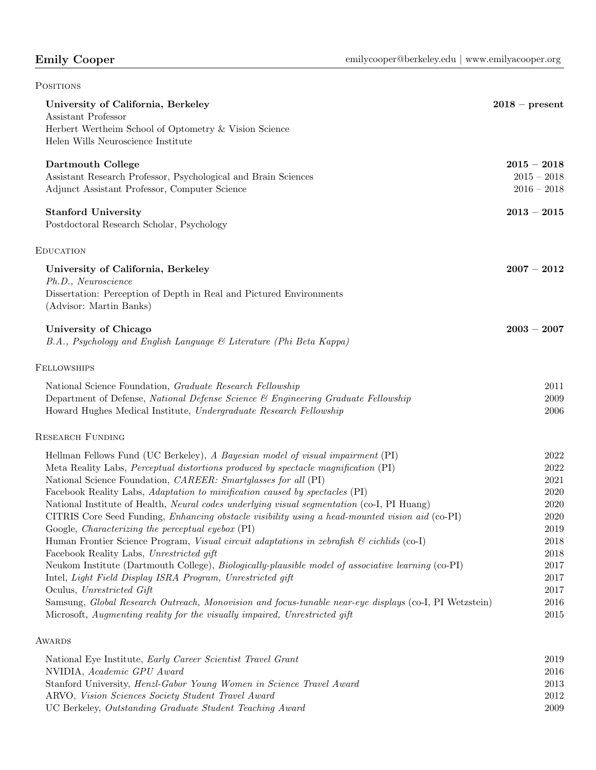| <b>POSITIONS</b>                                                                                                                                                                                                                                                                                                                                                                                                                                                                                                                                                                                                                                                                                                                                                                                                                                                                                                                                                                                                                                                                                                                                    |                                                                                                              |
|-----------------------------------------------------------------------------------------------------------------------------------------------------------------------------------------------------------------------------------------------------------------------------------------------------------------------------------------------------------------------------------------------------------------------------------------------------------------------------------------------------------------------------------------------------------------------------------------------------------------------------------------------------------------------------------------------------------------------------------------------------------------------------------------------------------------------------------------------------------------------------------------------------------------------------------------------------------------------------------------------------------------------------------------------------------------------------------------------------------------------------------------------------|--------------------------------------------------------------------------------------------------------------|
| University of California, Berkeley<br>Assistant Professor<br>Herbert Wertheim School of Optometry & Vision Science<br>Helen Wills Neuroscience Institute                                                                                                                                                                                                                                                                                                                                                                                                                                                                                                                                                                                                                                                                                                                                                                                                                                                                                                                                                                                            | $2018$ – present                                                                                             |
| Dartmouth College<br>Assistant Research Professor, Psychological and Brain Sciences<br>Adjunct Assistant Professor, Computer Science                                                                                                                                                                                                                                                                                                                                                                                                                                                                                                                                                                                                                                                                                                                                                                                                                                                                                                                                                                                                                | $2015 - 2018$<br>$2015 - 2018$<br>$2016 - 2018$                                                              |
| <b>Stanford University</b><br>Postdoctoral Research Scholar, Psychology                                                                                                                                                                                                                                                                                                                                                                                                                                                                                                                                                                                                                                                                                                                                                                                                                                                                                                                                                                                                                                                                             | $2013 - 2015$                                                                                                |
| <b>EDUCATION</b>                                                                                                                                                                                                                                                                                                                                                                                                                                                                                                                                                                                                                                                                                                                                                                                                                                                                                                                                                                                                                                                                                                                                    |                                                                                                              |
| University of California, Berkeley<br>Ph.D., Neuroscience<br>Dissertation: Perception of Depth in Real and Pictured Environments<br>(Advisor: Martin Banks)                                                                                                                                                                                                                                                                                                                                                                                                                                                                                                                                                                                                                                                                                                                                                                                                                                                                                                                                                                                         | $2007 - 2012$                                                                                                |
| University of Chicago<br>B.A., Psychology and English Language & Literature (Phi Beta Kappa)                                                                                                                                                                                                                                                                                                                                                                                                                                                                                                                                                                                                                                                                                                                                                                                                                                                                                                                                                                                                                                                        | $2003 - 2007$                                                                                                |
| <b>FELLOWSHIPS</b>                                                                                                                                                                                                                                                                                                                                                                                                                                                                                                                                                                                                                                                                                                                                                                                                                                                                                                                                                                                                                                                                                                                                  |                                                                                                              |
| National Science Foundation, Graduate Research Fellowship<br>Department of Defense, National Defense Science & Engineering Graduate Fellowship<br>Howard Hughes Medical Institute, Undergraduate Research Fellowship                                                                                                                                                                                                                                                                                                                                                                                                                                                                                                                                                                                                                                                                                                                                                                                                                                                                                                                                | 2011<br>2009<br>2006                                                                                         |
| <b>RESEARCH FUNDING</b>                                                                                                                                                                                                                                                                                                                                                                                                                                                                                                                                                                                                                                                                                                                                                                                                                                                                                                                                                                                                                                                                                                                             |                                                                                                              |
| Hellman Fellows Fund (UC Berkeley), A Bayesian model of visual impairment (PI)<br>Meta Reality Labs, <i>Perceptual distortions produced by spectacle magnification</i> (PI)<br>National Science Foundation, CAREER: Smartglasses for all (PI)<br>Facebook Reality Labs, Adaptation to minification caused by spectacles (PI)<br>National Institute of Health, <i>Neural codes underlying visual segmentation</i> (co-I, PI Huang)<br>CITRIS Core Seed Funding, Enhancing obstacle visibility using a head-mounted vision aid (co-PI)<br>Google, <i>Characterizing</i> the perceptual eyebox (PI)<br>Human Frontier Science Program, Visual circuit adaptations in zebrafish $\mathcal C$ cichids (co-I)<br>Facebook Reality Labs, Unrestricted gift<br>Neukom Institute (Dartmouth College), <i>Biologically-plausible model of associative learning</i> (co-PI)<br>Intel, Light Field Display ISRA Program, Unrestricted gift<br>Oculus, Unrestricted Gift<br>Samsung, Global Research Outreach, Monovision and focus-tunable near-eye displays (co-I, PI Wetzstein)<br>Microsoft, Augmenting reality for the visually impaired, Unrestricted gift | 2022<br>2022<br>2021<br>2020<br>2020<br>2020<br>2019<br>2018<br>2018<br>2017<br>2017<br>2017<br>2016<br>2015 |
| AWARDS                                                                                                                                                                                                                                                                                                                                                                                                                                                                                                                                                                                                                                                                                                                                                                                                                                                                                                                                                                                                                                                                                                                                              |                                                                                                              |

| National Eye Institute, <i>Early Career Scientist Travel Grant</i>          | 2019 |
|-----------------------------------------------------------------------------|------|
| NVIDIA, Academic GPU Award                                                  | 2016 |
| Stanford University, <i>Henzl-Gabor Young Women in Science Travel Award</i> | 2013 |
| ARVO, Vision Sciences Society Student Travel Award                          | 2012 |
| UC Berkeley, Outstanding Graduate Student Teaching Award                    | 2009 |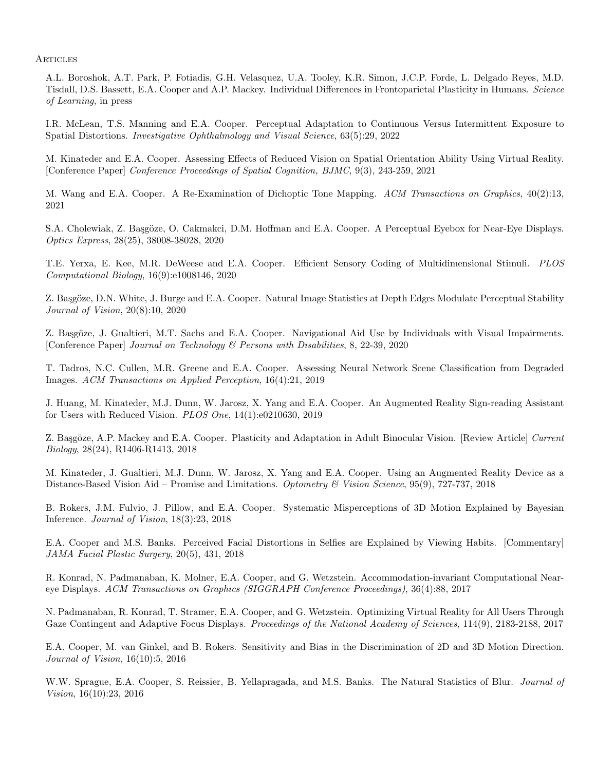**ARTICLES** 

A.L. Boroshok, A.T. Park, P. Fotiadis, G.H. Velasquez, U.A. Tooley, K.R. Simon, J.C.P. Forde, L. Delgado Reyes, M.D. Tisdall, D.S. Bassett, E.A. Cooper and A.P. Mackey. Individual Differences in Frontoparietal Plasticity in Humans. Science of Learning, in press

I.R. McLean, T.S. Manning and E.A. Cooper. Perceptual Adaptation to Continuous Versus Intermittent Exposure to Spatial Distortions. Investigative Ophthalmology and Visual Science, 63(5):29, 2022

M. Kinateder and E.A. Cooper. Assessing Effects of Reduced Vision on Spatial Orientation Ability Using Virtual Reality. [Conference Paper] Conference Proceedings of Spatial Cognition, BJMC, 9(3), 243-259, 2021

M. Wang and E.A. Cooper. A Re-Examination of Dichoptic Tone Mapping. ACM Transactions on Graphics, 40(2):13, 2021

S.A. Cholewiak, Z. Başgöze, O. Cakmakci, D.M. Hoffman and E.A. Cooper. A Perceptual Eyebox for Near-Eye Displays. Optics Express, 28(25), 38008-38028, 2020

T.E. Yerxa, E. Kee, M.R. DeWeese and E.A. Cooper. Efficient Sensory Coding of Multidimensional Stimuli. PLOS Computational Biology, 16(9):e1008146, 2020

Z. Başgöze, D.N. White, J. Burge and E.A. Cooper. Natural Image Statistics at Depth Edges Modulate Perceptual Stability Journal of Vision, 20(8):10, 2020

Z. Başgöze, J. Gualtieri, M.T. Sachs and E.A. Cooper. Navigational Aid Use by Individuals with Visual Impairments. [Conference Paper] Journal on Technology & Persons with Disabilities, 8, 22-39, 2020

T. Tadros, N.C. Cullen, M.R. Greene and E.A. Cooper. Assessing Neural Network Scene Classification from Degraded Images. ACM Transactions on Applied Perception, 16(4):21, 2019

J. Huang, M. Kinateder, M.J. Dunn, W. Jarosz, X. Yang and E.A. Cooper. An Augmented Reality Sign-reading Assistant for Users with Reduced Vision. PLOS One, 14(1):e0210630, 2019

Z. Başgöze, A.P. Mackey and E.A. Cooper. Plasticity and Adaptation in Adult Binocular Vision. [Review Article] Current Biology, 28(24), R1406-R1413, 2018

M. Kinateder, J. Gualtieri, M.J. Dunn, W. Jarosz, X. Yang and E.A. Cooper. Using an Augmented Reality Device as a Distance-Based Vision Aid – Promise and Limitations. Optometry & Vision Science, 95(9), 727-737, 2018

B. Rokers, J.M. Fulvio, J. Pillow, and E.A. Cooper. Systematic Misperceptions of 3D Motion Explained by Bayesian Inference. Journal of Vision, 18(3):23, 2018

E.A. Cooper and M.S. Banks. Perceived Facial Distortions in Selfies are Explained by Viewing Habits. [Commentary] JAMA Facial Plastic Surgery, 20(5), 431, 2018

R. Konrad, N. Padmanaban, K. Molner, E.A. Cooper, and G. Wetzstein. Accommodation-invariant Computational Neareye Displays. ACM Transactions on Graphics (SIGGRAPH Conference Proceedings), 36(4):88, 2017

N. Padmanaban, R. Konrad, T. Stramer, E.A. Cooper, and G. Wetzstein. Optimizing Virtual Reality for All Users Through Gaze Contingent and Adaptive Focus Displays. Proceedings of the National Academy of Sciences, 114(9), 2183-2188, 2017

E.A. Cooper, M. van Ginkel, and B. Rokers. Sensitivity and Bias in the Discrimination of 2D and 3D Motion Direction. Journal of Vision, 16(10):5, 2016

W.W. Sprague, E.A. Cooper, S. Reissier, B. Yellapragada, and M.S. Banks. The Natural Statistics of Blur. *Journal of* Vision, 16(10):23, 2016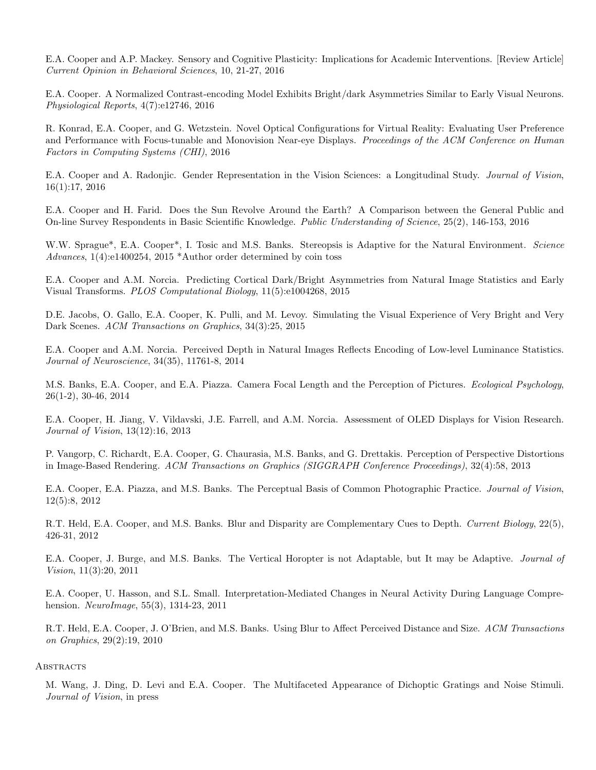E.A. Cooper and A.P. Mackey. Sensory and Cognitive Plasticity: Implications for Academic Interventions. [Review Article] Current Opinion in Behavioral Sciences, 10, 21-27, 2016

E.A. Cooper. A Normalized Contrast-encoding Model Exhibits Bright/dark Asymmetries Similar to Early Visual Neurons. Physiological Reports, 4(7):e12746, 2016

R. Konrad, E.A. Cooper, and G. Wetzstein. Novel Optical Configurations for Virtual Reality: Evaluating User Preference and Performance with Focus-tunable and Monovision Near-eye Displays. Proceedings of the ACM Conference on Human Factors in Computing Systems (CHI), 2016

E.A. Cooper and A. Radonjic. Gender Representation in the Vision Sciences: a Longitudinal Study. Journal of Vision, 16(1):17, 2016

E.A. Cooper and H. Farid. Does the Sun Revolve Around the Earth? A Comparison between the General Public and On-line Survey Respondents in Basic Scientific Knowledge. Public Understanding of Science, 25(2), 146-153, 2016

W.W. Sprague<sup>\*</sup>, E.A. Cooper<sup>\*</sup>, I. Tosic and M.S. Banks. Stereopsis is Adaptive for the Natural Environment. Science Advances, 1(4):e1400254, 2015 \*Author order determined by coin toss

E.A. Cooper and A.M. Norcia. Predicting Cortical Dark/Bright Asymmetries from Natural Image Statistics and Early Visual Transforms. PLOS Computational Biology, 11(5):e1004268, 2015

D.E. Jacobs, O. Gallo, E.A. Cooper, K. Pulli, and M. Levoy. Simulating the Visual Experience of Very Bright and Very Dark Scenes. ACM Transactions on Graphics, 34(3):25, 2015

E.A. Cooper and A.M. Norcia. Perceived Depth in Natural Images Reflects Encoding of Low-level Luminance Statistics. Journal of Neuroscience, 34(35), 11761-8, 2014

M.S. Banks, E.A. Cooper, and E.A. Piazza. Camera Focal Length and the Perception of Pictures. Ecological Psychology, 26(1-2), 30-46, 2014

E.A. Cooper, H. Jiang, V. Vildavski, J.E. Farrell, and A.M. Norcia. Assessment of OLED Displays for Vision Research. Journal of Vision, 13(12):16, 2013

P. Vangorp, C. Richardt, E.A. Cooper, G. Chaurasia, M.S. Banks, and G. Drettakis. Perception of Perspective Distortions in Image-Based Rendering. ACM Transactions on Graphics (SIGGRAPH Conference Proceedings), 32(4):58, 2013

E.A. Cooper, E.A. Piazza, and M.S. Banks. The Perceptual Basis of Common Photographic Practice. Journal of Vision, 12(5):8, 2012

R.T. Held, E.A. Cooper, and M.S. Banks. Blur and Disparity are Complementary Cues to Depth. Current Biology, 22(5), 426-31, 2012

E.A. Cooper, J. Burge, and M.S. Banks. The Vertical Horopter is not Adaptable, but It may be Adaptive. *Journal of* Vision, 11(3):20, 2011

E.A. Cooper, U. Hasson, and S.L. Small. Interpretation-Mediated Changes in Neural Activity During Language Comprehension. NeuroImage, 55(3), 1314-23, 2011

R.T. Held, E.A. Cooper, J. O'Brien, and M.S. Banks. Using Blur to Affect Perceived Distance and Size. ACM Transactions on Graphics, 29(2):19, 2010

## **ABSTRACTS**

M. Wang, J. Ding, D. Levi and E.A. Cooper. The Multifaceted Appearance of Dichoptic Gratings and Noise Stimuli. Journal of Vision, in press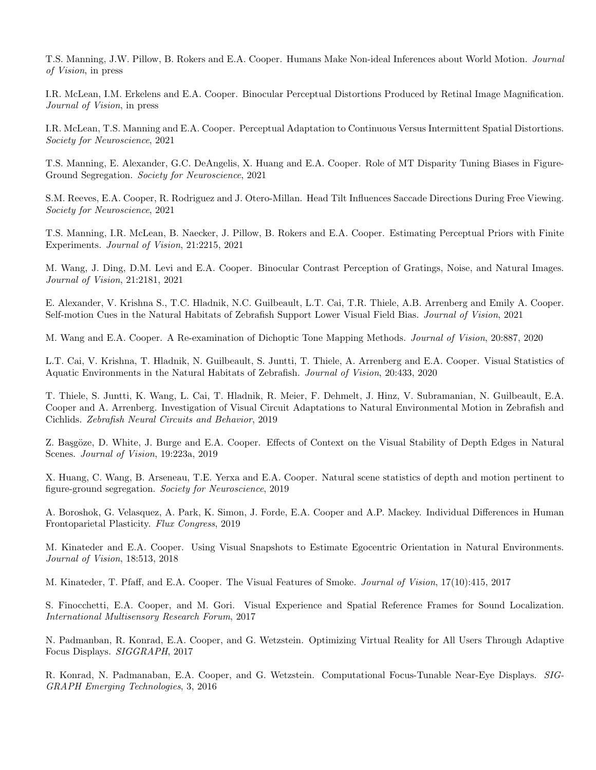T.S. Manning, J.W. Pillow, B. Rokers and E.A. Cooper. Humans Make Non-ideal Inferences about World Motion. Journal of Vision, in press

I.R. McLean, I.M. Erkelens and E.A. Cooper. Binocular Perceptual Distortions Produced by Retinal Image Magnification. Journal of Vision, in press

I.R. McLean, T.S. Manning and E.A. Cooper. Perceptual Adaptation to Continuous Versus Intermittent Spatial Distortions. Society for Neuroscience, 2021

T.S. Manning, E. Alexander, G.C. DeAngelis, X. Huang and E.A. Cooper. Role of MT Disparity Tuning Biases in Figure-Ground Segregation. Society for Neuroscience, 2021

S.M. Reeves, E.A. Cooper, R. Rodriguez and J. Otero-Millan. Head Tilt Influences Saccade Directions During Free Viewing. Society for Neuroscience, 2021

T.S. Manning, I.R. McLean, B. Naecker, J. Pillow, B. Rokers and E.A. Cooper. Estimating Perceptual Priors with Finite Experiments. Journal of Vision, 21:2215, 2021

M. Wang, J. Ding, D.M. Levi and E.A. Cooper. Binocular Contrast Perception of Gratings, Noise, and Natural Images. Journal of Vision, 21:2181, 2021

E. Alexander, V. Krishna S., T.C. Hladnik, N.C. Guilbeault, L.T. Cai, T.R. Thiele, A.B. Arrenberg and Emily A. Cooper. Self-motion Cues in the Natural Habitats of Zebrafish Support Lower Visual Field Bias. Journal of Vision, 2021

M. Wang and E.A. Cooper. A Re-examination of Dichoptic Tone Mapping Methods. Journal of Vision, 20:887, 2020

L.T. Cai, V. Krishna, T. Hladnik, N. Guilbeault, S. Juntti, T. Thiele, A. Arrenberg and E.A. Cooper. Visual Statistics of Aquatic Environments in the Natural Habitats of Zebrafish. Journal of Vision, 20:433, 2020

T. Thiele, S. Juntti, K. Wang, L. Cai, T. Hladnik, R. Meier, F. Dehmelt, J. Hinz, V. Subramanian, N. Guilbeault, E.A. Cooper and A. Arrenberg. Investigation of Visual Circuit Adaptations to Natural Environmental Motion in Zebrafish and Cichlids. Zebrafish Neural Circuits and Behavior, 2019

Z. Başgöze, D. White, J. Burge and E.A. Cooper. Effects of Context on the Visual Stability of Depth Edges in Natural Scenes. Journal of Vision, 19:223a, 2019

X. Huang, C. Wang, B. Arseneau, T.E. Yerxa and E.A. Cooper. Natural scene statistics of depth and motion pertinent to figure-ground segregation. Society for Neuroscience, 2019

A. Boroshok, G. Velasquez, A. Park, K. Simon, J. Forde, E.A. Cooper and A.P. Mackey. Individual Differences in Human Frontoparietal Plasticity. Flux Congress, 2019

M. Kinateder and E.A. Cooper. Using Visual Snapshots to Estimate Egocentric Orientation in Natural Environments. Journal of Vision, 18:513, 2018

M. Kinateder, T. Pfaff, and E.A. Cooper. The Visual Features of Smoke. Journal of Vision, 17(10):415, 2017

S. Finocchetti, E.A. Cooper, and M. Gori. Visual Experience and Spatial Reference Frames for Sound Localization. International Multisensory Research Forum, 2017

N. Padmanban, R. Konrad, E.A. Cooper, and G. Wetzstein. Optimizing Virtual Reality for All Users Through Adaptive Focus Displays. SIGGRAPH, 2017

R. Konrad, N. Padmanaban, E.A. Cooper, and G. Wetzstein. Computational Focus-Tunable Near-Eye Displays. SIG-GRAPH Emerging Technologies, 3, 2016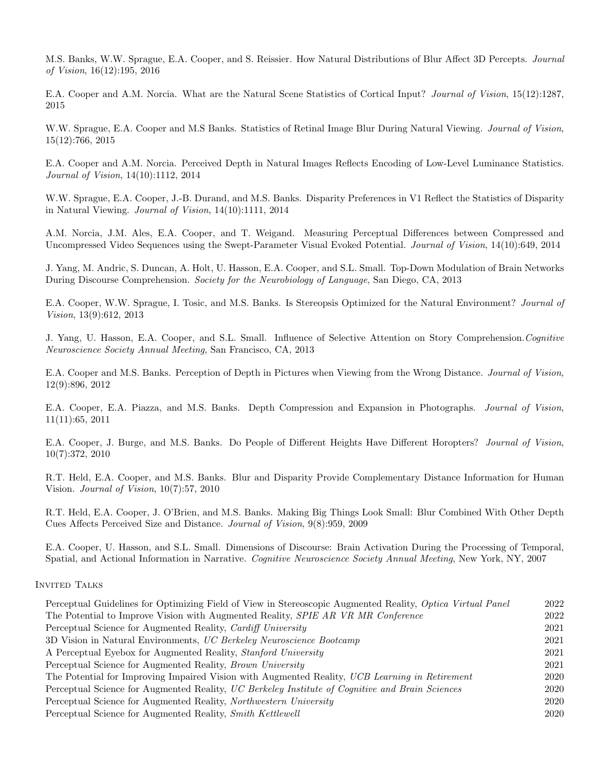M.S. Banks, W.W. Sprague, E.A. Cooper, and S. Reissier. How Natural Distributions of Blur Affect 3D Percepts. Journal of Vision, 16(12):195, 2016

E.A. Cooper and A.M. Norcia. What are the Natural Scene Statistics of Cortical Input? Journal of Vision, 15(12):1287, 2015

W.W. Sprague, E.A. Cooper and M.S Banks. Statistics of Retinal Image Blur During Natural Viewing. Journal of Vision, 15(12):766, 2015

E.A. Cooper and A.M. Norcia. Perceived Depth in Natural Images Reflects Encoding of Low-Level Luminance Statistics. Journal of Vision, 14(10):1112, 2014

W.W. Sprague, E.A. Cooper, J.-B. Durand, and M.S. Banks. Disparity Preferences in V1 Reflect the Statistics of Disparity in Natural Viewing. Journal of Vision, 14(10):1111, 2014

A.M. Norcia, J.M. Ales, E.A. Cooper, and T. Weigand. Measuring Perceptual Differences between Compressed and Uncompressed Video Sequences using the Swept-Parameter Visual Evoked Potential. Journal of Vision, 14(10):649, 2014

J. Yang, M. Andric, S. Duncan, A. Holt, U. Hasson, E.A. Cooper, and S.L. Small. Top-Down Modulation of Brain Networks During Discourse Comprehension. Society for the Neurobiology of Language, San Diego, CA, 2013

E.A. Cooper, W.W. Sprague, I. Tosic, and M.S. Banks. Is Stereopsis Optimized for the Natural Environment? Journal of Vision, 13(9):612, 2013

J. Yang, U. Hasson, E.A. Cooper, and S.L. Small. Influence of Selective Attention on Story Comprehension.Cognitive Neuroscience Society Annual Meeting, San Francisco, CA, 2013

E.A. Cooper and M.S. Banks. Perception of Depth in Pictures when Viewing from the Wrong Distance. Journal of Vision, 12(9):896, 2012

E.A. Cooper, E.A. Piazza, and M.S. Banks. Depth Compression and Expansion in Photographs. Journal of Vision, 11(11):65, 2011

E.A. Cooper, J. Burge, and M.S. Banks. Do People of Different Heights Have Different Horopters? Journal of Vision, 10(7):372, 2010

R.T. Held, E.A. Cooper, and M.S. Banks. Blur and Disparity Provide Complementary Distance Information for Human Vision. Journal of Vision, 10(7):57, 2010

R.T. Held, E.A. Cooper, J. O'Brien, and M.S. Banks. Making Big Things Look Small: Blur Combined With Other Depth Cues Affects Perceived Size and Distance. Journal of Vision, 9(8):959, 2009

E.A. Cooper, U. Hasson, and S.L. Small. Dimensions of Discourse: Brain Activation During the Processing of Temporal, Spatial, and Actional Information in Narrative. Cognitive Neuroscience Society Annual Meeting, New York, NY, 2007

## INVITED TALKS

| Perceptual Guidelines for Optimizing Field of View in Stereoscopic Augmented Reality, Optica Virtual Panel | 2022 |
|------------------------------------------------------------------------------------------------------------|------|
| The Potential to Improve Vision with Augmented Reality, SPIE AR VR MR Conference                           | 2022 |
| Perceptual Science for Augmented Reality, Cardiff University                                               | 2021 |
| 3D Vision in Natural Environments, UC Berkeley Neuroscience Bootcamp                                       | 2021 |
| A Perceptual Eyebox for Augmented Reality, <i>Stanford University</i>                                      | 2021 |
| Perceptual Science for Augmented Reality, <i>Brown University</i>                                          | 2021 |
| The Potential for Improving Impaired Vision with Augmented Reality, UCB Learning in Retirement             | 2020 |
| Perceptual Science for Augmented Reality, UC Berkeley Institute of Cognitive and Brain Sciences            | 2020 |
| Perceptual Science for Augmented Reality, Northwestern University                                          | 2020 |
| Perceptual Science for Augmented Reality, Smith Kettlewell                                                 | 2020 |
|                                                                                                            |      |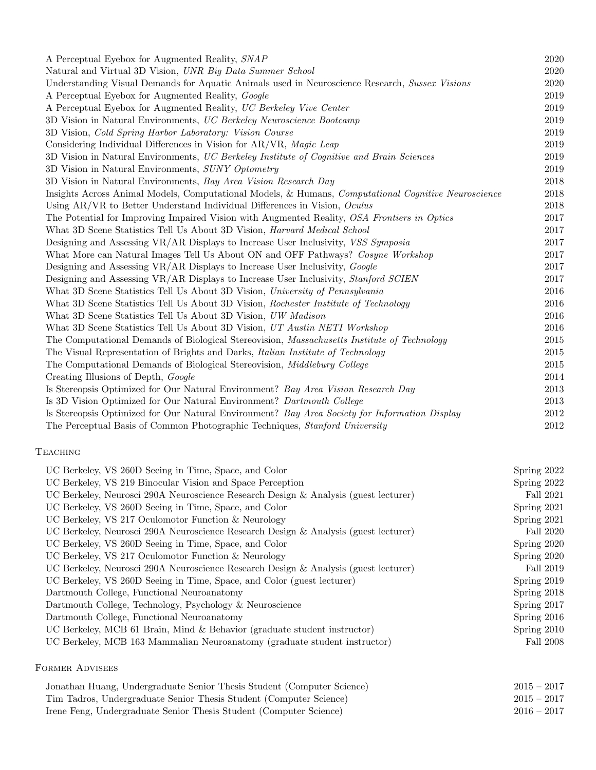| A Perceptual Eyebox for Augmented Reality, SNAP                                                     | 2020 |
|-----------------------------------------------------------------------------------------------------|------|
| Natural and Virtual 3D Vision, UNR Big Data Summer School                                           | 2020 |
| Understanding Visual Demands for Aquatic Animals used in Neuroscience Research, Sussex Visions      | 2020 |
| A Perceptual Eyebox for Augmented Reality, Google                                                   | 2019 |
| A Perceptual Eyebox for Augmented Reality, UC Berkeley Vive Center                                  | 2019 |
| 3D Vision in Natural Environments, UC Berkeley Neuroscience Bootcamp                                | 2019 |
| 3D Vision, Cold Spring Harbor Laboratory: Vision Course                                             | 2019 |
| Considering Individual Differences in Vision for AR/VR, Magic Leap                                  | 2019 |
| 3D Vision in Natural Environments, UC Berkeley Institute of Cognitive and Brain Sciences            | 2019 |
| 3D Vision in Natural Environments, SUNY Optometry                                                   | 2019 |
| 3D Vision in Natural Environments, Bay Area Vision Research Day                                     | 2018 |
| Insights Across Animal Models, Computational Models, & Humans, Computational Cognitive Neuroscience | 2018 |
| Using AR/VR to Better Understand Individual Differences in Vision, Oculus                           | 2018 |
| The Potential for Improving Impaired Vision with Augmented Reality, OSA Frontiers in Optics         | 2017 |
| What 3D Scene Statistics Tell Us About 3D Vision, <i>Harvard Medical School</i>                     | 2017 |
| Designing and Assessing VR/AR Displays to Increase User Inclusivity, VSS Symposia                   | 2017 |
| What More can Natural Images Tell Us About ON and OFF Pathways? Cosyne Workshop                     | 2017 |
| Designing and Assessing VR/AR Displays to Increase User Inclusivity, <i>Google</i>                  | 2017 |
| Designing and Assessing VR/AR Displays to Increase User Inclusivity, Stanford SCIEN                 | 2017 |
| What 3D Scene Statistics Tell Us About 3D Vision, University of Pennsylvania                        | 2016 |
| What 3D Scene Statistics Tell Us About 3D Vision, Rochester Institute of Technology                 | 2016 |
| What 3D Scene Statistics Tell Us About 3D Vision, UW Madison                                        | 2016 |
| What 3D Scene Statistics Tell Us About 3D Vision, UT Austin NETI Workshop                           | 2016 |
| The Computational Demands of Biological Stereovision, Massachusetts Institute of Technology         | 2015 |
| The Visual Representation of Brights and Darks, Italian Institute of Technology                     | 2015 |
| The Computational Demands of Biological Stereovision, Middlebury College                            | 2015 |
| Creating Illusions of Depth, Google                                                                 | 2014 |
| Is Stereopsis Optimized for Our Natural Environment? Bay Area Vision Research Day                   | 2013 |
| Is 3D Vision Optimized for Our Natural Environment? Dartmouth College                               | 2013 |
| Is Stereopsis Optimized for Our Natural Environment? Bay Area Society for Information Display       | 2012 |
| The Perceptual Basis of Common Photographic Techniques, Stanford University                         | 2012 |

## **TEACHING**

| UC Berkeley, VS 260D Seeing in Time, Space, and Color                               | Spring 2022   |
|-------------------------------------------------------------------------------------|---------------|
| UC Berkeley, VS 219 Binocular Vision and Space Perception                           | Spring 2022   |
| UC Berkeley, Neurosci 290A Neuroscience Research Design & Analysis (guest lecturer) | Fall 2021     |
| UC Berkeley, VS 260D Seeing in Time, Space, and Color                               | Spring 2021   |
| UC Berkeley, VS 217 Oculomotor Function & Neurology                                 | Spring $2021$ |
| UC Berkeley, Neurosci 290A Neuroscience Research Design & Analysis (guest lecturer) | Fall 2020     |
| UC Berkeley, VS 260D Seeing in Time, Space, and Color                               | Spring 2020   |
| UC Berkeley, VS 217 Oculomotor Function & Neurology                                 | Spring 2020   |
| UC Berkeley, Neurosci 290A Neuroscience Research Design & Analysis (guest lecturer) | Fall 2019     |
| UC Berkeley, VS 260D Seeing in Time, Space, and Color (guest lecturer)              | Spring 2019   |
| Dartmouth College, Functional Neuroanatomy                                          | Spring 2018   |
| Dartmouth College, Technology, Psychology & Neuroscience                            | Spring 2017   |
| Dartmouth College, Functional Neuroanatomy                                          | Spring 2016   |
| UC Berkeley, MCB 61 Brain, Mind & Behavior (graduate student instructor)            | Spring 2010   |
| UC Berkeley, MCB 163 Mammalian Neuroanatomy (graduate student instructor)           | Fall 2008     |
|                                                                                     |               |

## Former Advisees

| Jonathan Huang, Undergraduate Senior Thesis Student (Computer Science) | $2015 - 2017$ |
|------------------------------------------------------------------------|---------------|
| Tim Tadros, Undergraduate Senior Thesis Student (Computer Science)     | $2015 - 2017$ |
| Irene Feng, Undergraduate Senior Thesis Student (Computer Science)     | $2016 - 2017$ |